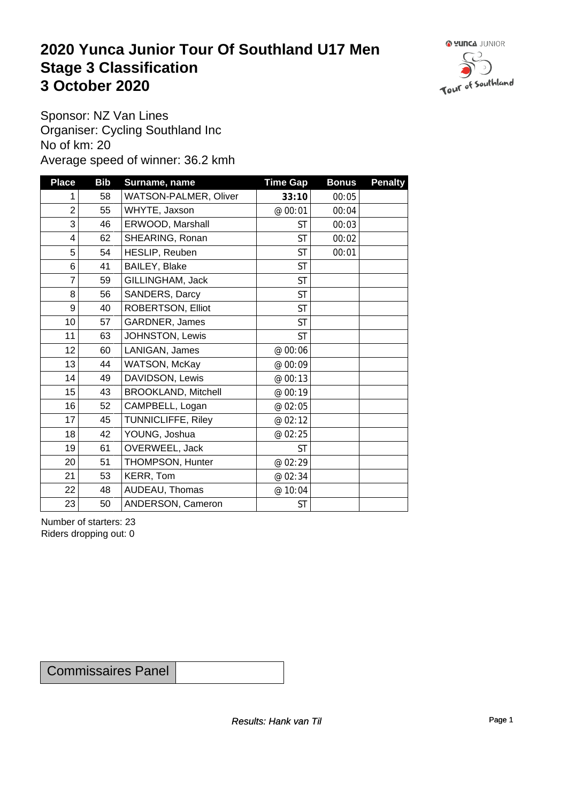### **2020 Yunca Junior Tour Of Southland U17 Men** Stage 3 Classification<br>
3 October 2020 **3 October 2020**



Sponsor: NZ Van Lines Organiser: Cycling Southland Inc No of km: 20 Average speed of winner: 36.2 kmh

| <b>Place</b>            | <b>Bib</b> | Surname, name              | <b>Time Gap</b> | <b>Bonus</b> | <b>Penalty</b> |
|-------------------------|------------|----------------------------|-----------------|--------------|----------------|
| 1                       | 58         | WATSON-PALMER, Oliver      | 33:10           | 00:05        |                |
| $\overline{c}$          | 55         | WHYTE, Jaxson              | @ 00:01         | 00:04        |                |
| 3                       | 46         | ERWOOD, Marshall           | <b>ST</b>       | 00:03        |                |
| $\overline{\mathbf{4}}$ | 62         | SHEARING, Ronan            | <b>ST</b>       | 00:02        |                |
| 5                       | 54         | HESLIP, Reuben             | <b>ST</b>       | 00:01        |                |
| 6                       | 41         | BAILEY, Blake              | <b>ST</b>       |              |                |
| $\overline{7}$          | 59         | GILLINGHAM, Jack           | <b>ST</b>       |              |                |
| 8                       | 56         | SANDERS, Darcy             | <b>ST</b>       |              |                |
| 9                       | 40         | ROBERTSON, Elliot          | <b>ST</b>       |              |                |
| 10                      | 57         | GARDNER, James             | <b>ST</b>       |              |                |
| 11                      | 63         | JOHNSTON, Lewis            | <b>ST</b>       |              |                |
| 12                      | 60         | LANIGAN, James             | @ 00:06         |              |                |
| 13                      | 44         | WATSON, McKay              | @ 00:09         |              |                |
| 14                      | 49         | DAVIDSON, Lewis            | @ 00:13         |              |                |
| 15                      | 43         | <b>BROOKLAND, Mitchell</b> | @ 00:19         |              |                |
| 16                      | 52         | CAMPBELL, Logan            | @ 02:05         |              |                |
| 17                      | 45         | TUNNICLIFFE, Riley         | @ 02:12         |              |                |
| 18                      | 42         | YOUNG, Joshua              | @ 02:25         |              |                |
| 19                      | 61         | OVERWEEL, Jack             | <b>ST</b>       |              |                |
| 20                      | 51         | THOMPSON, Hunter           | @ 02:29         |              |                |
| 21                      | 53         | KERR, Tom                  | @ 02:34         |              |                |
| 22                      | 48         | AUDEAU, Thomas             | @ 10:04         |              |                |
| 23                      | 50         | ANDERSON, Cameron          | <b>ST</b>       |              |                |

Number of starters: 23 Riders dropping out: 0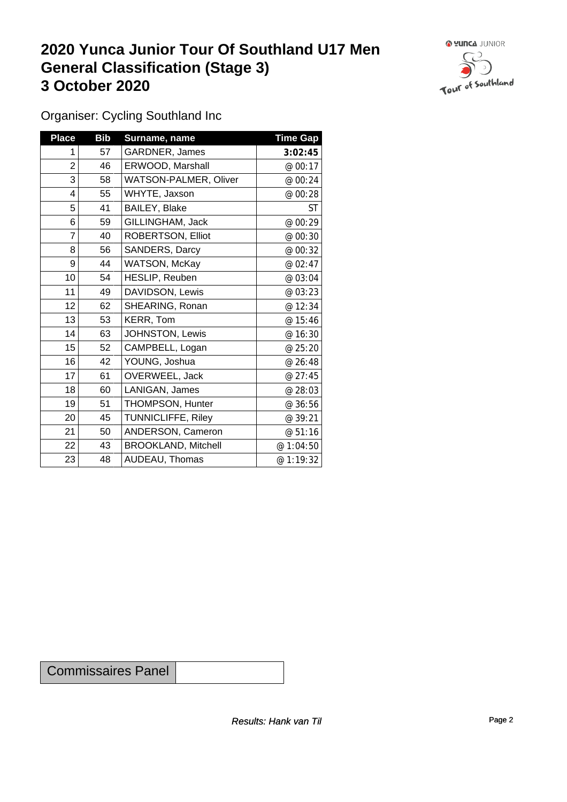## **2020 Yunca Junior Tour Of Southland U17 Men General Classification (Stage 3)**<br> **3 October 2020 3 October 2020**



Organiser: Cycling Southland Inc

| <b>Place</b>   | <b>Bib</b> | Surname, name                | <b>Time Gap</b> |
|----------------|------------|------------------------------|-----------------|
| 1              | 57         | GARDNER, James               | 3:02:45         |
| $\overline{2}$ | 46         | ERWOOD, Marshall             | @ 00:17         |
| 3              | 58         | <b>WATSON-PALMER, Oliver</b> | @ 00:24         |
| 4              | 55         | WHYTE, Jaxson                | @ 00:28         |
| 5              | 41         | <b>BAILEY, Blake</b>         | <b>ST</b>       |
| 6              | 59         | GILLINGHAM, Jack             | @ 00:29         |
| 7              | 40         | ROBERTSON, Elliot            | @ 00:30         |
| 8              | 56         | SANDERS, Darcy               | @ 00:32         |
| 9              | 44         | <b>WATSON, McKay</b>         | @ 02:47         |
| 10             | 54         | HESLIP, Reuben               | @ 03:04         |
| 11             | 49         | DAVIDSON, Lewis              | @ 03:23         |
| 12             | 62         | SHEARING, Ronan              | @ 12:34         |
| 13             | 53         | KERR, Tom                    | @ 15:46         |
| 14             | 63         | JOHNSTON, Lewis              | @ 16:30         |
| 15             | 52         | CAMPBELL, Logan              | @ 25:20         |
| 16             | 42         | YOUNG, Joshua                | @ 26:48         |
| 17             | 61         | OVERWEEL, Jack               | @ 27:45         |
| 18             | 60         | LANIGAN, James               | @ 28:03         |
| 19             | 51         | THOMPSON, Hunter             | @ 36:56         |
| 20             | 45         | <b>TUNNICLIFFE, Riley</b>    | @ 39:21         |
| 21             | 50         | ANDERSON, Cameron            | @ 51:16         |
| 22             | 43         | <b>BROOKLAND, Mitchell</b>   | @ 1:04:50       |
| 23             | 48         | AUDEAU, Thomas               | @ 1:19:32       |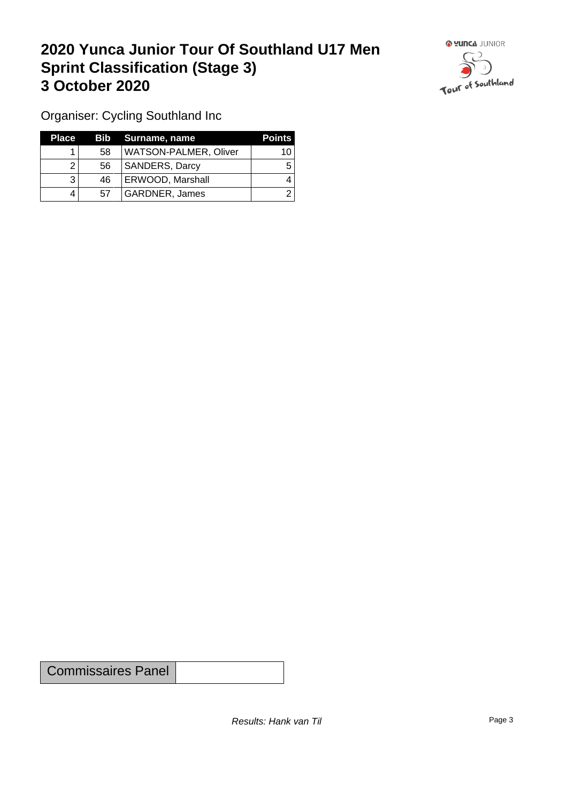## **2020 Yunca Junior Tour Of Southland U17 Men Sprint Classification (Stage 3) 3 October 2020**



Organiser: Cycling Southland Inc

| <b>Place</b> |    | Bib Surname, name            | <b>Points</b> |
|--------------|----|------------------------------|---------------|
|              | 58 | <b>WATSON-PALMER, Oliver</b> | 10            |
|              | 56 | <b>SANDERS, Darcy</b>        |               |
|              | 46 | ERWOOD, Marshall             |               |
| 4            | 57 | GARDNER, James               |               |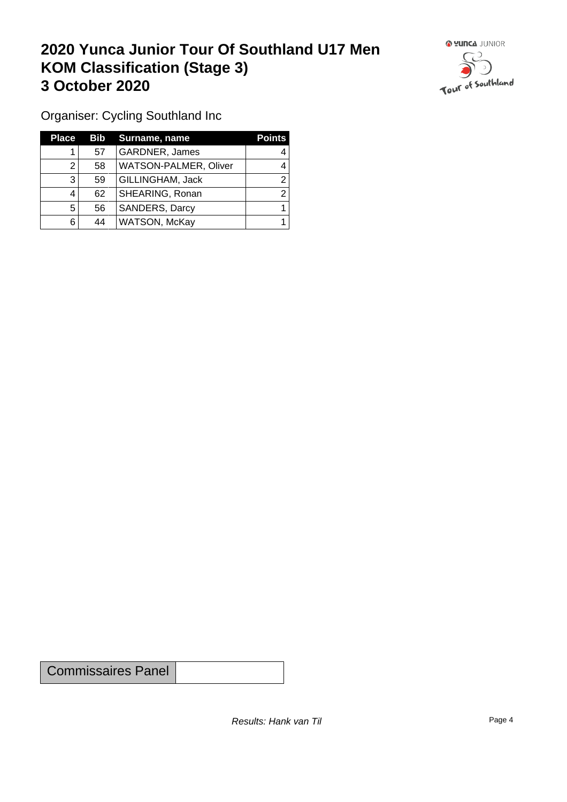## **2020 Yunca Junior Tour Of Southland U17 Men KOM Classification (Stage 3) 3 October 2020**



Organiser: Cycling Southland Inc

| <b>Place</b> |    | <b>Bib</b> Surname, name | <b>Points</b> |
|--------------|----|--------------------------|---------------|
|              | 57 | GARDNER, James           |               |
|              | 58 | WATSON-PALMER, Oliver    |               |
| 3            | 59 | GILLINGHAM, Jack         | ◠             |
|              | 62 | SHEARING, Ronan          |               |
| 5            | 56 | SANDERS, Darcy           |               |
| 6            | 44 | WATSON, McKay            |               |